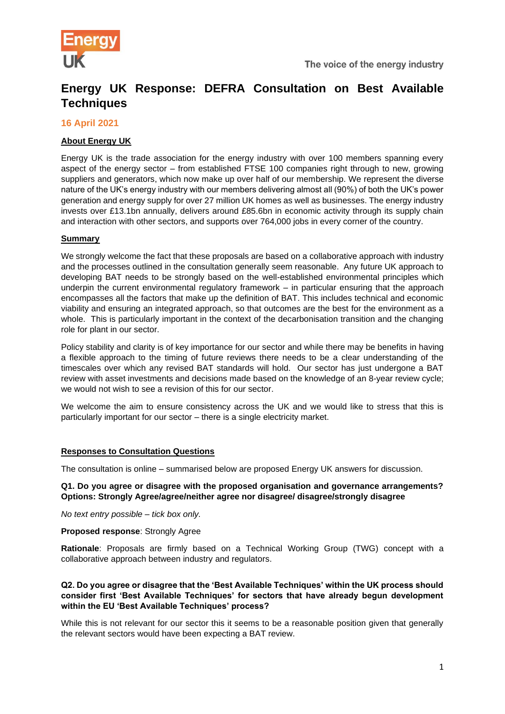

# **Energy UK Response: DEFRA Consultation on Best Available Techniques**

## **16 April 2021**

# **About Energy UK**

Energy UK is the trade association for the energy industry with over 100 members spanning every aspect of the energy sector – from established FTSE 100 companies right through to new, growing suppliers and generators, which now make up over half of our membership. We represent the diverse nature of the UK's energy industry with our members delivering almost all (90%) of both the UK's power generation and energy supply for over 27 million UK homes as well as businesses. The energy industry invests over £13.1bn annually, delivers around £85.6bn in economic activity through its supply chain and interaction with other sectors, and supports over 764,000 jobs in every corner of the country.

## **Summary**

We strongly welcome the fact that these proposals are based on a collaborative approach with industry and the processes outlined in the consultation generally seem reasonable. Any future UK approach to developing BAT needs to be strongly based on the well-established environmental principles which underpin the current environmental regulatory framework – in particular ensuring that the approach encompasses all the factors that make up the definition of BAT. This includes technical and economic viability and ensuring an integrated approach, so that outcomes are the best for the environment as a whole. This is particularly important in the context of the decarbonisation transition and the changing role for plant in our sector.

Policy stability and clarity is of key importance for our sector and while there may be benefits in having a flexible approach to the timing of future reviews there needs to be a clear understanding of the timescales over which any revised BAT standards will hold. Our sector has just undergone a BAT review with asset investments and decisions made based on the knowledge of an 8-year review cycle; we would not wish to see a revision of this for our sector.

We welcome the aim to ensure consistency across the UK and we would like to stress that this is particularly important for our sector – there is a single electricity market.

## **Responses to Consultation Questions**

The consultation is online – summarised below are proposed Energy UK answers for discussion.

#### **Q1. Do you agree or disagree with the proposed organisation and governance arrangements? Options: Strongly Agree/agree/neither agree nor disagree/ disagree/strongly disagree**

*No text entry possible – tick box only.* 

**Proposed response: Strongly Agree** 

**Rationale**: Proposals are firmly based on a Technical Working Group (TWG) concept with a collaborative approach between industry and regulators.

## **Q2. Do you agree or disagree that the 'Best Available Techniques' within the UK process should consider first 'Best Available Techniques' for sectors that have already begun development within the EU 'Best Available Techniques' process?**

While this is not relevant for our sector this it seems to be a reasonable position given that generally the relevant sectors would have been expecting a BAT review.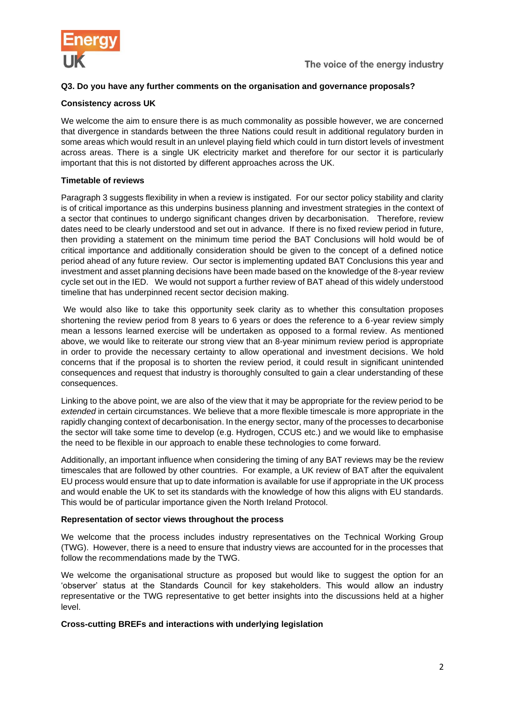

# **Q3. Do you have any further comments on the organisation and governance proposals?**

## **Consistency across UK**

We welcome the aim to ensure there is as much commonality as possible however, we are concerned that divergence in standards between the three Nations could result in additional regulatory burden in some areas which would result in an unlevel playing field which could in turn distort levels of investment across areas. There is a single UK electricity market and therefore for our sector it is particularly important that this is not distorted by different approaches across the UK.

#### **Timetable of reviews**

Paragraph 3 suggests flexibility in when a review is instigated. For our sector policy stability and clarity is of critical importance as this underpins business planning and investment strategies in the context of a sector that continues to undergo significant changes driven by decarbonisation. Therefore, review dates need to be clearly understood and set out in advance. If there is no fixed review period in future, then providing a statement on the minimum time period the BAT Conclusions will hold would be of critical importance and additionally consideration should be given to the concept of a defined notice period ahead of any future review. Our sector is implementing updated BAT Conclusions this year and investment and asset planning decisions have been made based on the knowledge of the 8-year review cycle set out in the IED. We would not support a further review of BAT ahead of this widely understood timeline that has underpinned recent sector decision making.

We would also like to take this opportunity seek clarity as to whether this consultation proposes shortening the review period from 8 years to 6 years or does the reference to a 6-year review simply mean a lessons learned exercise will be undertaken as opposed to a formal review. As mentioned above, we would like to reiterate our strong view that an 8-year minimum review period is appropriate in order to provide the necessary certainty to allow operational and investment decisions. We hold concerns that if the proposal is to shorten the review period, it could result in significant unintended consequences and request that industry is thoroughly consulted to gain a clear understanding of these consequences.

Linking to the above point, we are also of the view that it may be appropriate for the review period to be *extended* in certain circumstances. We believe that a more flexible timescale is more appropriate in the rapidly changing context of decarbonisation. In the energy sector, many of the processes to decarbonise the sector will take some time to develop (e.g. Hydrogen, CCUS etc.) and we would like to emphasise the need to be flexible in our approach to enable these technologies to come forward.

Additionally, an important influence when considering the timing of any BAT reviews may be the review timescales that are followed by other countries. For example, a UK review of BAT after the equivalent EU process would ensure that up to date information is available for use if appropriate in the UK process and would enable the UK to set its standards with the knowledge of how this aligns with EU standards. This would be of particular importance given the North Ireland Protocol.

## **Representation of sector views throughout the process**

We welcome that the process includes industry representatives on the Technical Working Group (TWG). However, there is a need to ensure that industry views are accounted for in the processes that follow the recommendations made by the TWG.

We welcome the organisational structure as proposed but would like to suggest the option for an 'observer' status at the Standards Council for key stakeholders. This would allow an industry representative or the TWG representative to get better insights into the discussions held at a higher level.

## **Cross-cutting BREFs and interactions with underlying legislation**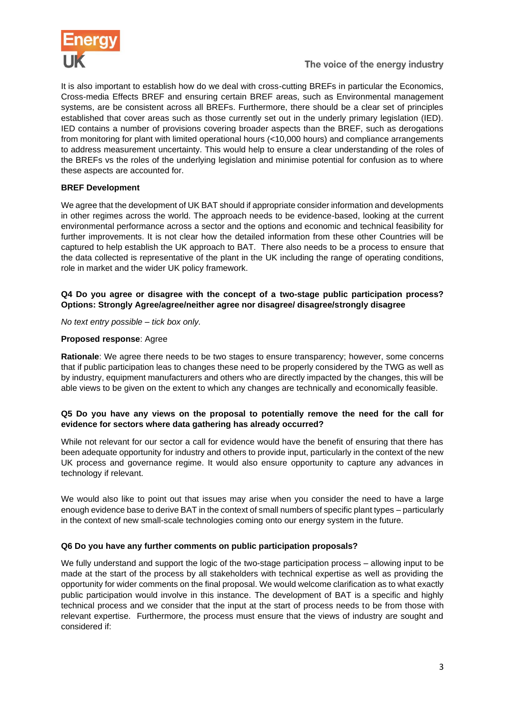

It is also important to establish how do we deal with cross-cutting BREFs in particular the Economics, Cross-media Effects BREF and ensuring certain BREF areas, such as Environmental management systems, are be consistent across all BREFs. Furthermore, there should be a clear set of principles established that cover areas such as those currently set out in the underly primary legislation (IED). IED contains a number of provisions covering broader aspects than the BREF, such as derogations from monitoring for plant with limited operational hours (<10,000 hours) and compliance arrangements to address measurement uncertainty. This would help to ensure a clear understanding of the roles of the BREFs vs the roles of the underlying legislation and minimise potential for confusion as to where these aspects are accounted for.

# **BREF Development**

We agree that the development of UK BAT should if appropriate consider information and developments in other regimes across the world. The approach needs to be evidence-based, looking at the current environmental performance across a sector and the options and economic and technical feasibility for further improvements. It is not clear how the detailed information from these other Countries will be captured to help establish the UK approach to BAT. There also needs to be a process to ensure that the data collected is representative of the plant in the UK including the range of operating conditions, role in market and the wider UK policy framework.

# **Q4 Do you agree or disagree with the concept of a two-stage public participation process? Options: Strongly Agree/agree/neither agree nor disagree/ disagree/strongly disagree**

*No text entry possible – tick box only.* 

# **Proposed response**: Agree

**Rationale**: We agree there needs to be two stages to ensure transparency; however, some concerns that if public participation leas to changes these need to be properly considered by the TWG as well as by industry, equipment manufacturers and others who are directly impacted by the changes, this will be able views to be given on the extent to which any changes are technically and economically feasible.

## **Q5 Do you have any views on the proposal to potentially remove the need for the call for evidence for sectors where data gathering has already occurred?**

While not relevant for our sector a call for evidence would have the benefit of ensuring that there has been adequate opportunity for industry and others to provide input, particularly in the context of the new UK process and governance regime. It would also ensure opportunity to capture any advances in technology if relevant.

We would also like to point out that issues may arise when you consider the need to have a large enough evidence base to derive BAT in the context of small numbers of specific plant types – particularly in the context of new small-scale technologies coming onto our energy system in the future.

## **Q6 Do you have any further comments on public participation proposals?**

We fully understand and support the logic of the two-stage participation process – allowing input to be made at the start of the process by all stakeholders with technical expertise as well as providing the opportunity for wider comments on the final proposal. We would welcome clarification as to what exactly public participation would involve in this instance. The development of BAT is a specific and highly technical process and we consider that the input at the start of process needs to be from those with relevant expertise. Furthermore, the process must ensure that the views of industry are sought and considered if: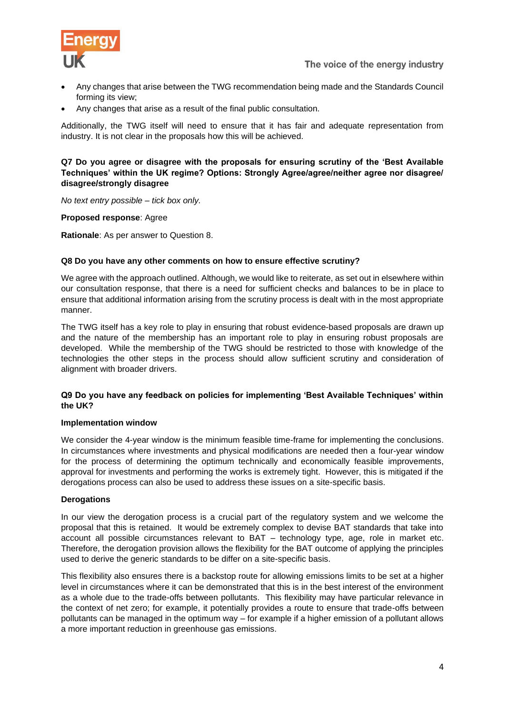

- Any changes that arise between the TWG recommendation being made and the Standards Council forming its view;
- Any changes that arise as a result of the final public consultation.

Additionally, the TWG itself will need to ensure that it has fair and adequate representation from industry. It is not clear in the proposals how this will be achieved.

#### **Q7 Do you agree or disagree with the proposals for ensuring scrutiny of the 'Best Available Techniques' within the UK regime? Options: Strongly Agree/agree/neither agree nor disagree/ disagree/strongly disagree**

*No text entry possible – tick box only.* 

**Proposed response**: Agree

**Rationale**: As per answer to Question 8.

#### **Q8 Do you have any other comments on how to ensure effective scrutiny?**

We agree with the approach outlined. Although, we would like to reiterate, as set out in elsewhere within our consultation response, that there is a need for sufficient checks and balances to be in place to ensure that additional information arising from the scrutiny process is dealt with in the most appropriate manner.

The TWG itself has a key role to play in ensuring that robust evidence-based proposals are drawn up and the nature of the membership has an important role to play in ensuring robust proposals are developed. While the membership of the TWG should be restricted to those with knowledge of the technologies the other steps in the process should allow sufficient scrutiny and consideration of alignment with broader drivers.

## **Q9 Do you have any feedback on policies for implementing 'Best Available Techniques' within the UK?**

#### **Implementation window**

We consider the 4-year window is the minimum feasible time-frame for implementing the conclusions. In circumstances where investments and physical modifications are needed then a four-year window for the process of determining the optimum technically and economically feasible improvements, approval for investments and performing the works is extremely tight. However, this is mitigated if the derogations process can also be used to address these issues on a site-specific basis.

## **Derogations**

In our view the derogation process is a crucial part of the regulatory system and we welcome the proposal that this is retained. It would be extremely complex to devise BAT standards that take into account all possible circumstances relevant to BAT – technology type, age, role in market etc. Therefore, the derogation provision allows the flexibility for the BAT outcome of applying the principles used to derive the generic standards to be differ on a site-specific basis.

This flexibility also ensures there is a backstop route for allowing emissions limits to be set at a higher level in circumstances where it can be demonstrated that this is in the best interest of the environment as a whole due to the trade-offs between pollutants. This flexibility may have particular relevance in the context of net zero; for example, it potentially provides a route to ensure that trade-offs between pollutants can be managed in the optimum way – for example if a higher emission of a pollutant allows a more important reduction in greenhouse gas emissions.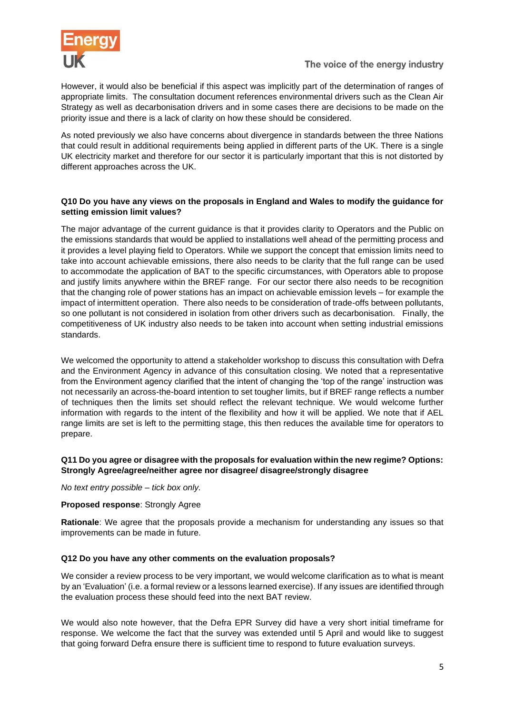

However, it would also be beneficial if this aspect was implicitly part of the determination of ranges of appropriate limits. The consultation document references environmental drivers such as the Clean Air Strategy as well as decarbonisation drivers and in some cases there are decisions to be made on the priority issue and there is a lack of clarity on how these should be considered.

As noted previously we also have concerns about divergence in standards between the three Nations that could result in additional requirements being applied in different parts of the UK. There is a single UK electricity market and therefore for our sector it is particularly important that this is not distorted by different approaches across the UK.

# **Q10 Do you have any views on the proposals in England and Wales to modify the guidance for setting emission limit values?**

The major advantage of the current guidance is that it provides clarity to Operators and the Public on the emissions standards that would be applied to installations well ahead of the permitting process and it provides a level playing field to Operators. While we support the concept that emission limits need to take into account achievable emissions, there also needs to be clarity that the full range can be used to accommodate the application of BAT to the specific circumstances, with Operators able to propose and justify limits anywhere within the BREF range. For our sector there also needs to be recognition that the changing role of power stations has an impact on achievable emission levels – for example the impact of intermittent operation. There also needs to be consideration of trade-offs between pollutants, so one pollutant is not considered in isolation from other drivers such as decarbonisation. Finally, the competitiveness of UK industry also needs to be taken into account when setting industrial emissions standards.

We welcomed the opportunity to attend a stakeholder workshop to discuss this consultation with Defra and the Environment Agency in advance of this consultation closing. We noted that a representative from the Environment agency clarified that the intent of changing the 'top of the range' instruction was not necessarily an across-the-board intention to set tougher limits, but if BREF range reflects a number of techniques then the limits set should reflect the relevant technique. We would welcome further information with regards to the intent of the flexibility and how it will be applied. We note that if AEL range limits are set is left to the permitting stage, this then reduces the available time for operators to prepare.

## **Q11 Do you agree or disagree with the proposals for evaluation within the new regime? Options: Strongly Agree/agree/neither agree nor disagree/ disagree/strongly disagree**

*No text entry possible – tick box only.* 

#### **Proposed response**: Strongly Agree

**Rationale**: We agree that the proposals provide a mechanism for understanding any issues so that improvements can be made in future.

## **Q12 Do you have any other comments on the evaluation proposals?**

We consider a review process to be very important, we would welcome clarification as to what is meant by an 'Evaluation' (i.e. a formal review or a lessons learned exercise). If any issues are identified through the evaluation process these should feed into the next BAT review.

We would also note however, that the Defra EPR Survey did have a very short initial timeframe for response. We welcome the fact that the survey was extended until 5 April and would like to suggest that going forward Defra ensure there is sufficient time to respond to future evaluation surveys.